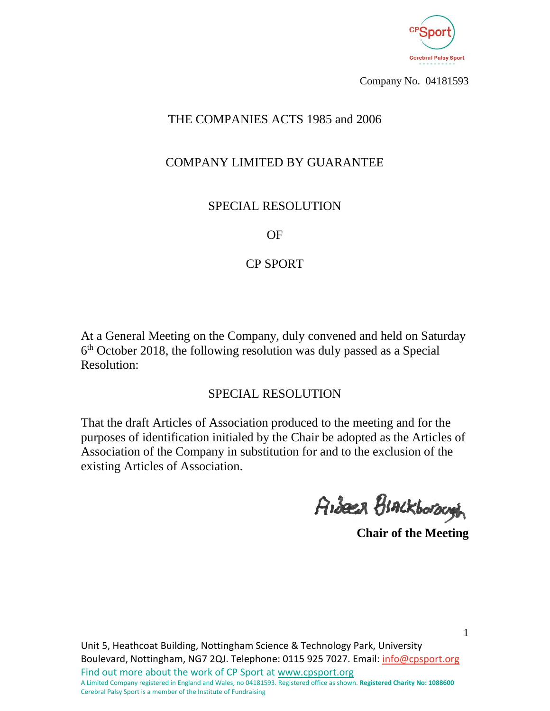

Company No. 04181593

# THE COMPANIES ACTS 1985 and 2006

# COMPANY LIMITED BY GUARANTEE

SPECIAL RESOLUTION

OF

# CP SPORT

At a General Meeting on the Company, duly convened and held on Saturday 6<sup>th</sup> October 2018, the following resolution was duly passed as a Special Resolution:

# SPECIAL RESOLUTION

That the draft Articles of Association produced to the meeting and for the purposes of identification initialed by the Chair be adopted as the Articles of Association of the Company in substitution for and to the exclusion of the existing Articles of Association.

Ardeen BIACKborough

**Chair of the Meeting**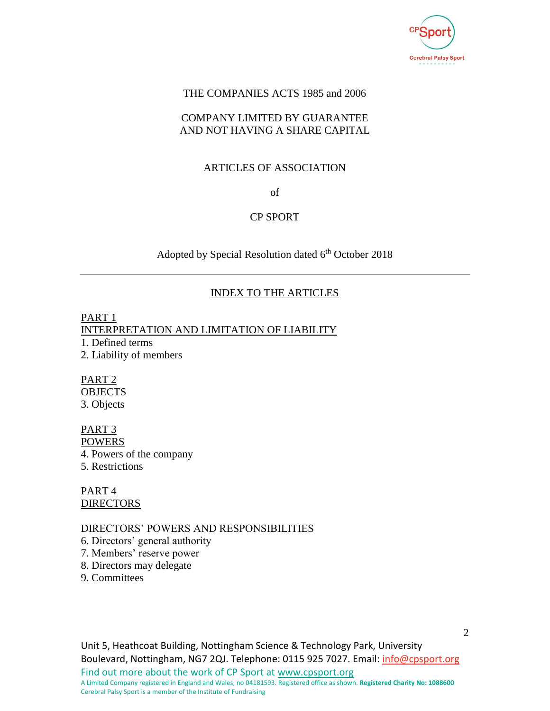

# THE COMPANIES ACTS 1985 and 2006

# COMPANY LIMITED BY GUARANTEE AND NOT HAVING A SHARE CAPITAL

# ARTICLES OF ASSOCIATION

of

# CP SPORT

Adopted by Special Resolution dated 6<sup>th</sup> October 2018

# INDEX TO THE ARTICLES

#### [PART 1](http://www.opsi.gov.uk/si/si2008/uksi_20083229_en_6#sch2-pt1)

[INTERPRETATION AND LIMITATION OF LIABILITY](http://www.opsi.gov.uk/si/si2008/uksi_20083229_en_6#sch2-pt1)

[1.](http://www.opsi.gov.uk/si/si2008/uksi_20083229_en_6#sch2-pt1-l1g58) [Defined terms](http://www.opsi.gov.uk/si/si2008/uksi_20083229_en_6#sch2-pt1-l1g58)

[2.](http://www.opsi.gov.uk/si/si2008/uksi_20083229_en_6#sch2-pt1-l1g59) [Liability of members](http://www.opsi.gov.uk/si/si2008/uksi_20083229_en_6#sch2-pt1-l1g59)

[PART 2](http://www.opsi.gov.uk/si/si2008/uksi_20083229_en_6#sch2-pt2) **OBJECTS** 3. Objects

PART<sub>3</sub> **POWERS** 4. Powers of the company 5. Restrictions

# [PART 4](http://www.opsi.gov.uk/si/si2008/uksi_20083229_en_6#sch2-pt2) **[DIRECTORS](http://www.opsi.gov.uk/si/si2008/uksi_20083229_en_6#sch2-pt2)**

#### [DIRECTORS' POWERS AND RESPONSIBILITIES](http://www.opsi.gov.uk/si/si2008/uksi_20083229_en_6#sch2-pt2-ch1)

- 6. [Directors' general authority](http://www.opsi.gov.uk/si/si2008/uksi_20083229_en_6#sch2-pt2-ch1-l1g60)
- 7. [Members' reserve power](http://www.opsi.gov.uk/si/si2008/uksi_20083229_en_6#sch2-pt2-ch1-l1g61)
- 8. [Directors may delegate](http://www.opsi.gov.uk/si/si2008/uksi_20083229_en_6#sch2-pt2-ch1-l1g62)
- 9. [Committees](http://www.opsi.gov.uk/si/si2008/uksi_20083229_en_6#sch2-pt2-ch1-l1g63)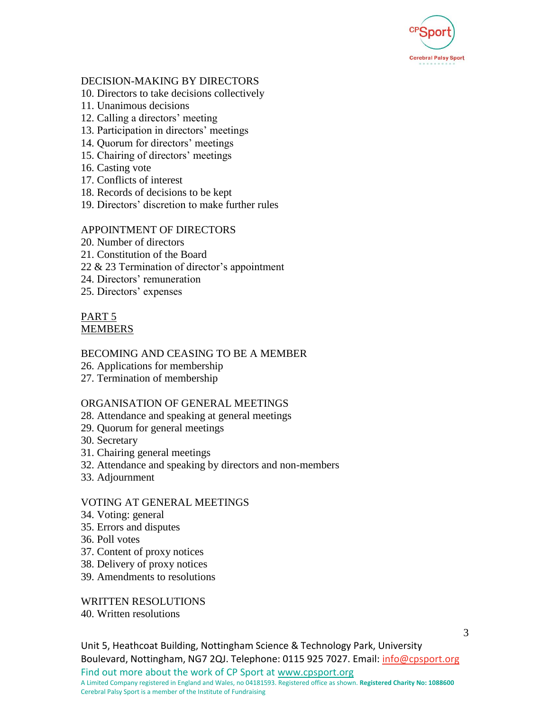

# [DECISION-MAKING BY DIRECTORS](http://www.opsi.gov.uk/si/si2008/uksi_20083229_en_6#sch2-pt2-ch2)

- 10. [Directors to take decisions collectively](http://www.opsi.gov.uk/si/si2008/uksi_20083229_en_6#sch2-pt2-ch2-l1g64)
- 11. [Unanimous decisions](http://www.opsi.gov.uk/si/si2008/uksi_20083229_en_6#sch2-pt2-ch2-l1g65)
- 12. [Calling a directors' meeting](http://www.opsi.gov.uk/si/si2008/uksi_20083229_en_6#sch2-pt2-ch2-l1g66)
- [13.](http://www.opsi.gov.uk/si/si2008/uksi_20083229_en_6#sch2-pt2-ch2-l1g67) [Participation in directors' meetings](http://www.opsi.gov.uk/si/si2008/uksi_20083229_en_6#sch2-pt2-ch2-l1g67)
- [14.](http://www.opsi.gov.uk/si/si2008/uksi_20083229_en_6#sch2-pt2-ch2-l1g68) [Quorum for directors' meetings](http://www.opsi.gov.uk/si/si2008/uksi_20083229_en_6#sch2-pt2-ch2-l1g68)
- [15.](http://www.opsi.gov.uk/si/si2008/uksi_20083229_en_6#sch2-pt2-ch2-l1g69) [Chairing of directors' meetings](http://www.opsi.gov.uk/si/si2008/uksi_20083229_en_6#sch2-pt2-ch2-l1g69)
- [16.](http://www.opsi.gov.uk/si/si2008/uksi_20083229_en_6#sch2-pt2-ch2-l1g70) [Casting](http://www.opsi.gov.uk/si/si2008/uksi_20083229_en_6#sch2-pt2-ch2-l1g70) vote
- [17.](http://www.opsi.gov.uk/si/si2008/uksi_20083229_en_6#sch2-pt2-ch2-l1g71) [Conflicts of interest](http://www.opsi.gov.uk/si/si2008/uksi_20083229_en_6#sch2-pt2-ch2-l1g71)
- [18.](http://www.opsi.gov.uk/si/si2008/uksi_20083229_en_6#sch2-pt2-ch2-l1g72) [Records of decisions to be kept](http://www.opsi.gov.uk/si/si2008/uksi_20083229_en_6#sch2-pt2-ch2-l1g72)
- [19.](http://www.opsi.gov.uk/si/si2008/uksi_20083229_en_6#sch2-pt2-ch2-l1g73) [Directors' discretion to make further rules](http://www.opsi.gov.uk/si/si2008/uksi_20083229_en_6#sch2-pt2-ch2-l1g73)

# [APPOINTMENT OF DIRECTORS](http://www.opsi.gov.uk/si/si2008/uksi_20083229_en_6#sch2-pt2-ch3)

- 20. Number of directors
- 21. Constitution of the Board
- 22 & 23 [Termination of director's appointment](http://www.opsi.gov.uk/si/si2008/uksi_20083229_en_6#sch2-pt2-ch3-l1g75)
- 24. [Directors' remuneration](http://www.opsi.gov.uk/si/si2008/uksi_20083229_en_6#sch2-pt2-ch3-l1g76)
- [25.](http://www.opsi.gov.uk/si/si2008/uksi_20083229_en_6#sch2-pt2-ch3-l1g77) [Directors' expenses](http://www.opsi.gov.uk/si/si2008/uksi_20083229_en_6#sch2-pt2-ch3-l1g77)

#### [PART 5](http://www.opsi.gov.uk/si/si2008/uksi_20083229_en_7#sch2-pt3) [MEMBERS](http://www.opsi.gov.uk/si/si2008/uksi_20083229_en_7#sch2-pt3)

# [BECOMING AND CEASING TO BE A MEMBER](http://www.opsi.gov.uk/si/si2008/uksi_20083229_en_7#sch2-pt3-ch1)

- [26.](http://www.opsi.gov.uk/si/si2008/uksi_20083229_en_7#sch2-pt3-ch1-l1g78) [Applications for membership](http://www.opsi.gov.uk/si/si2008/uksi_20083229_en_7#sch2-pt3-ch1-l1g78)
- [27.](http://www.opsi.gov.uk/si/si2008/uksi_20083229_en_7#sch2-pt3-ch1-l1g79) [Termination of membership](http://www.opsi.gov.uk/si/si2008/uksi_20083229_en_7#sch2-pt3-ch1-l1g79)

#### [ORGANISATION OF GENERAL MEETINGS](http://www.opsi.gov.uk/si/si2008/uksi_20083229_en_7#sch2-pt3-ch2)

- [28.](http://www.opsi.gov.uk/si/si2008/uksi_20083229_en_7#sch2-pt3-ch2-l1g80) [Attendance and speaking at general meetings](http://www.opsi.gov.uk/si/si2008/uksi_20083229_en_7#sch2-pt3-ch2-l1g80)
- [29.](http://www.opsi.gov.uk/si/si2008/uksi_20083229_en_7#sch2-pt3-ch2-l1g81) [Quorum for general meetings](http://www.opsi.gov.uk/si/si2008/uksi_20083229_en_7#sch2-pt3-ch2-l1g81)
- 30. Secretary
- 31. [Chairing general meetings](http://www.opsi.gov.uk/si/si2008/uksi_20083229_en_7#sch2-pt3-ch2-l1g82)
- 32. [Attendance and speaking by directors and non-members](http://www.opsi.gov.uk/si/si2008/uksi_20083229_en_7#sch2-pt3-ch2-l1g83)
- 33. [Adjournment](http://www.opsi.gov.uk/si/si2008/uksi_20083229_en_7#sch2-pt3-ch2-l1g84)

#### [VOTING AT GENERAL MEETINGS](http://www.opsi.gov.uk/si/si2008/uksi_20083229_en_7#sch2-pt3-ch3)

- 34. [Voting: general](http://www.opsi.gov.uk/si/si2008/uksi_20083229_en_7#sch2-pt3-ch3-l1g85)
- 35. [Errors and disputes](http://www.opsi.gov.uk/si/si2008/uksi_20083229_en_7#sch2-pt3-ch3-l1g86)
- [36.](http://www.opsi.gov.uk/si/si2008/uksi_20083229_en_7#sch2-pt3-ch3-l1g87) [Poll votes](http://www.opsi.gov.uk/si/si2008/uksi_20083229_en_7#sch2-pt3-ch3-l1g87)
- [37.](http://www.opsi.gov.uk/si/si2008/uksi_20083229_en_7#sch2-pt3-ch3-l1g88) [Content of proxy notices](http://www.opsi.gov.uk/si/si2008/uksi_20083229_en_7#sch2-pt3-ch3-l1g88)
- [38.](http://www.opsi.gov.uk/si/si2008/uksi_20083229_en_7#sch2-pt3-ch3-l1g89) [Delivery of proxy notices](http://www.opsi.gov.uk/si/si2008/uksi_20083229_en_7#sch2-pt3-ch3-l1g89)
- [39.](http://www.opsi.gov.uk/si/si2008/uksi_20083229_en_7#sch2-pt3-ch3-l1g90) [Amendments to resolutions](http://www.opsi.gov.uk/si/si2008/uksi_20083229_en_7#sch2-pt3-ch3-l1g90)

# WRITTEN RESOLUTIONS

40. Written resolutions

Unit 5, Heathcoat Building, Nottingham Science & Technology Park, University Boulevard, Nottingham, NG7 2QJ. Telephone: 0115 925 7027. Email: [info@cpsport.org](mailto:info@cpsport.org) Find out more about the work of CP Sport at [www.cpsport.org](http://www.cpsport.org/)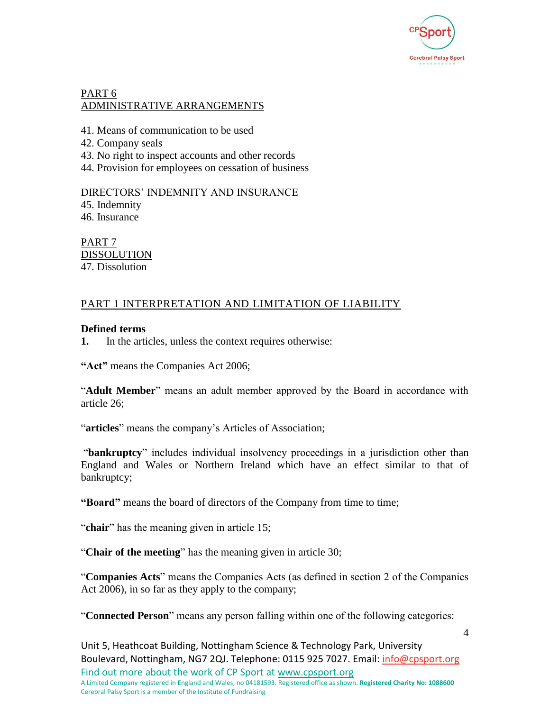

#### [PART](http://www.opsi.gov.uk/si/si2008/uksi_20083229_en_8#sch2-pt4) 6 [ADMINISTRATIVE ARRANGEMENTS](http://www.opsi.gov.uk/si/si2008/uksi_20083229_en_8#sch2-pt4)

- 41. [Means of communication to be used](http://www.opsi.gov.uk/si/si2008/uksi_20083229_en_8#sch2-pt4-l1g91)
- 42. [Company seals](http://www.opsi.gov.uk/si/si2008/uksi_20083229_en_8#sch2-pt4-l1g92)
- 43. [No right to inspect accounts and other records](http://www.opsi.gov.uk/si/si2008/uksi_20083229_en_8#sch2-pt4-l1g93)
- 44. [Provision for employees on cessation of business](http://www.opsi.gov.uk/si/si2008/uksi_20083229_en_8#sch2-pt4-l1g94)

[DIRECTORS' INDEMNITY AND INSURANCE](http://www.opsi.gov.uk/si/si2008/uksi_20083229_en_8#sch2-pt4-ch1) 45. [Indemnity](http://www.opsi.gov.uk/si/si2008/uksi_20083229_en_8#sch2-pt4-ch1-l1g95) 46. [Insurance](http://www.opsi.gov.uk/si/si2008/uksi_20083229_en_8#sch2-pt4-ch1-l1g96)

PART 7 DISSOLUTION 47. Dissolution

# PART 1 INTERPRETATION AND LIMITATION OF LIABILITY

#### **Defined terms**

**1.** In the articles, unless the context requires otherwise:

**"Act"** means the Companies Act 2006;

"**Adult Member**" means an adult member approved by the Board in accordance with article 26;

"**articles**" means the company's Articles of Association;

"**bankruptcy**" includes individual insolvency proceedings in a jurisdiction other than England and Wales or Northern Ireland which have an effect similar to that of bankruptcy;

**"Board"** means the board of directors of the Company from time to time;

"**chair**" has the meaning given in article 15;

"**Chair of the meeting**" has the meaning given in article 30;

"**Companies Acts**" means the Companies Acts (as defined in section 2 of the Companies Act 2006), in so far as they apply to the company;

"**Connected Person**" means any person falling within one of the following categories:

Unit 5, Heathcoat Building, Nottingham Science & Technology Park, University Boulevard, Nottingham, NG7 2QJ. Telephone: 0115 925 7027. Email: [info@cpsport.org](mailto:info@cpsport.org) Find out more about the work of CP Sport at [www.cpsport.org](http://www.cpsport.org/) A Limited Company registered in England and Wales, no 04181593. Registered office as shown. **Registered Charity No: 1088600** Cerebral Palsy Sport is a member of the Institute of Fundraising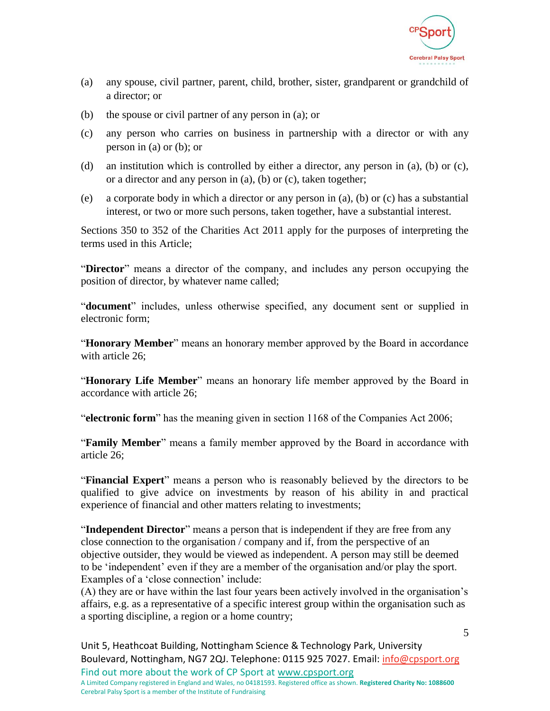

- (a) any spouse, civil partner, parent, child, brother, sister, grandparent or grandchild of a director; or
- (b) the spouse or civil partner of any person in (a); or
- (c) any person who carries on business in partnership with a director or with any person in (a) or (b); or
- (d) an institution which is controlled by either a director, any person in (a), (b) or (c), or a director and any person in (a), (b) or (c), taken together;
- (e) a corporate body in which a director or any person in (a), (b) or (c) has a substantial interest, or two or more such persons, taken together, have a substantial interest.

Sections 350 to 352 of the Charities Act 2011 apply for the purposes of interpreting the terms used in this Article;

"**Director**" means a director of the company, and includes any person occupying the position of director, by whatever name called;

"**document**" includes, unless otherwise specified, any document sent or supplied in electronic form;

"**Honorary Member**" means an honorary member approved by the Board in accordance with article 26;

"**Honorary Life Member**" means an honorary life member approved by the Board in accordance with article 26;

"**electronic form**" has the meaning given in section 1168 of the Companies Act 2006;

"**Family Member**" means a family member approved by the Board in accordance with article 26;

"**Financial Expert**" means a person who is reasonably believed by the directors to be qualified to give advice on investments by reason of his ability in and practical experience of financial and other matters relating to investments;

"**Independent Director**" means a person that is independent if they are free from any close connection to the organisation / company and if, from the perspective of an objective outsider, they would be viewed as independent. A person may still be deemed to be 'independent' even if they are a member of the organisation and/or play the sport. Examples of a 'close connection' include:

(A) they are or have within the last four years been actively involved in the organisation's affairs, e.g. as a representative of a specific interest group within the organisation such as a sporting discipline, a region or a home country;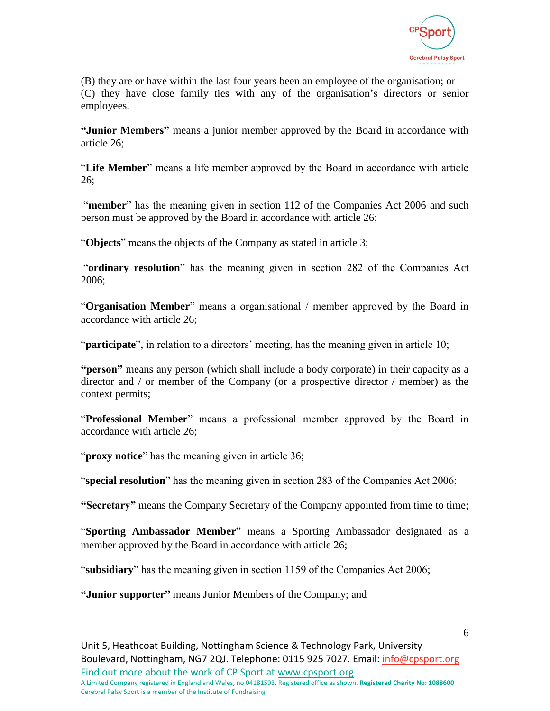

(B) they are or have within the last four years been an employee of the organisation; or (C) they have close family ties with any of the organisation's directors or senior employees.

**"Junior Members"** means a junior member approved by the Board in accordance with article 26;

"**Life Member**" means a life member approved by the Board in accordance with article 26;

"**member**" has the meaning given in section 112 of the Companies Act 2006 and such person must be approved by the Board in accordance with article 26;

"**Objects**" means the objects of the Company as stated in article 3;

"**ordinary resolution**" has the meaning given in section 282 of the Companies Act 2006;

"**Organisation Member**" means a organisational / member approved by the Board in accordance with article 26;

"**participate**", in relation to a directors' meeting, has the meaning given in article 10;

**"person"** means any person (which shall include a body corporate) in their capacity as a director and / or member of the Company (or a prospective director / member) as the context permits;

"**Professional Member**" means a professional member approved by the Board in accordance with article 26;

"**proxy notice**" has the meaning given in article 36;

"**special resolution**" has the meaning given in section 283 of the Companies Act 2006;

**"Secretary"** means the Company Secretary of the Company appointed from time to time;

"**Sporting Ambassador Member**" means a Sporting Ambassador designated as a member approved by the Board in accordance with article 26;

"**subsidiary**" has the meaning given in section 1159 of the Companies Act 2006;

**"Junior supporter"** means Junior Members of the Company; and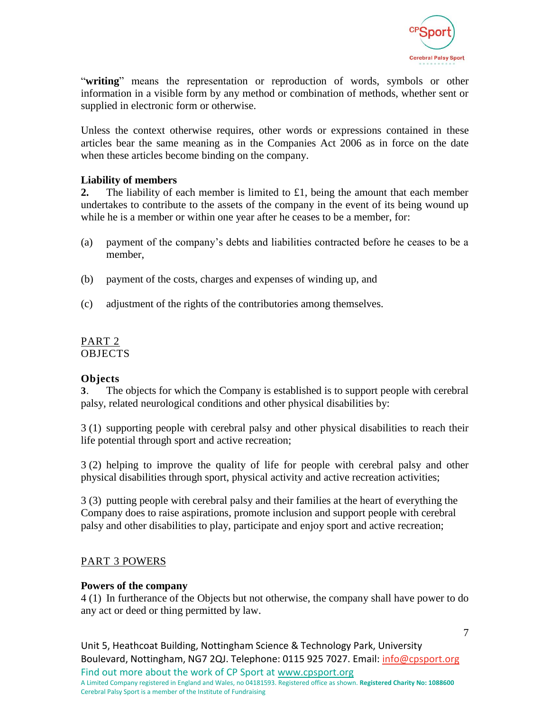

"**writing**" means the representation or reproduction of words, symbols or other information in a visible form by any method or combination of methods, whether sent or supplied in electronic form or otherwise.

Unless the context otherwise requires, other words or expressions contained in these articles bear the same meaning as in the Companies Act 2006 as in force on the date when these articles become binding on the company.

#### **Liability of members**

**2.** The liability of each member is limited to £1, being the amount that each member undertakes to contribute to the assets of the company in the event of its being wound up while he is a member or within one year after he ceases to be a member, for:

- (a) payment of the company's debts and liabilities contracted before he ceases to be a member,
- (b) payment of the costs, charges and expenses of winding up, and
- (c) adjustment of the rights of the contributories among themselves.

#### PART 2 **OBJECTS**

#### **Objects**

**3**. The objects for which the Company is established is to support people with cerebral palsy, related neurological conditions and other physical disabilities by:

3 (1) supporting people with cerebral palsy and other physical disabilities to reach their life potential through sport and active recreation;

3 (2) helping to improve the quality of life for people with cerebral palsy and other physical disabilities through sport, physical activity and active recreation activities;

3 (3) putting people with cerebral palsy and their families at the heart of everything the Company does to raise aspirations, promote inclusion and support people with cerebral palsy and other disabilities to play, participate and enjoy sport and active recreation;

#### PART 3 POWERS

#### **Powers of the company**

4 (1) In furtherance of the Objects but not otherwise, the company shall have power to do any act or deed or thing permitted by law.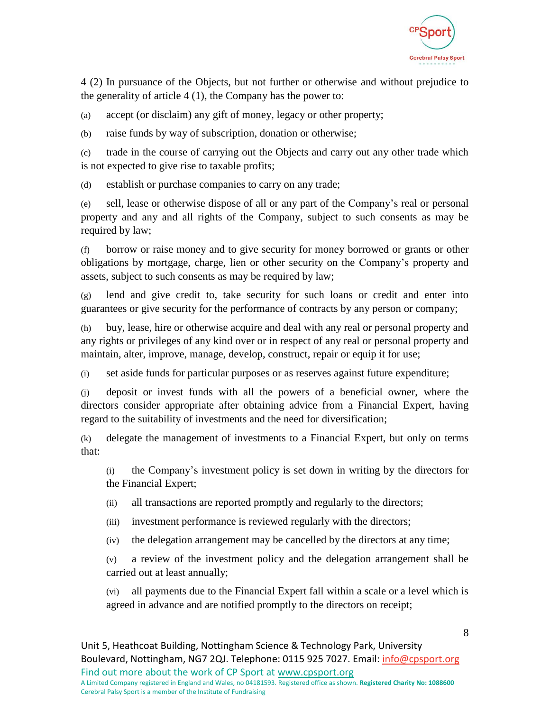

4 (2) In pursuance of the Objects, but not further or otherwise and without prejudice to the generality of article 4 (1), the Company has the power to:

(a) accept (or disclaim) any gift of money, legacy or other property;

(b) raise funds by way of subscription, donation or otherwise;

(c) trade in the course of carrying out the Objects and carry out any other trade which is not expected to give rise to taxable profits;

(d) establish or purchase companies to carry on any trade;

(e) sell, lease or otherwise dispose of all or any part of the Company's real or personal property and any and all rights of the Company, subject to such consents as may be required by law;

(f) borrow or raise money and to give security for money borrowed or grants or other obligations by mortgage, charge, lien or other security on the Company's property and assets, subject to such consents as may be required by law;

(g) lend and give credit to, take security for such loans or credit and enter into guarantees or give security for the performance of contracts by any person or company;

(h) buy, lease, hire or otherwise acquire and deal with any real or personal property and any rights or privileges of any kind over or in respect of any real or personal property and maintain, alter, improve, manage, develop, construct, repair or equip it for use;

(i) set aside funds for particular purposes or as reserves against future expenditure;

(j) deposit or invest funds with all the powers of a beneficial owner, where the directors consider appropriate after obtaining advice from a Financial Expert, having regard to the suitability of investments and the need for diversification;

(k) delegate the management of investments to a Financial Expert, but only on terms that:

(i) the Company's investment policy is set down in writing by the directors for the Financial Expert;

(ii) all transactions are reported promptly and regularly to the directors;

(iii) investment performance is reviewed regularly with the directors;

(iv) the delegation arrangement may be cancelled by the directors at any time;

(v) a review of the investment policy and the delegation arrangement shall be carried out at least annually;

(vi) all payments due to the Financial Expert fall within a scale or a level which is agreed in advance and are notified promptly to the directors on receipt;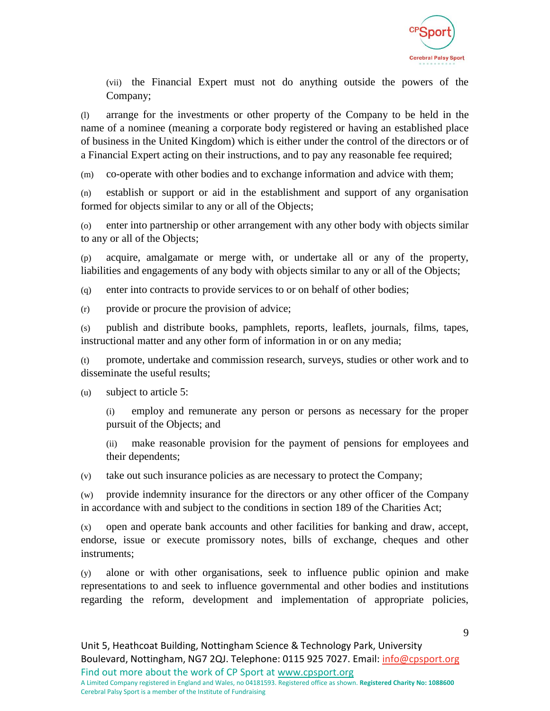

(vii) the Financial Expert must not do anything outside the powers of the Company;

(l) arrange for the investments or other property of the Company to be held in the name of a nominee (meaning a corporate body registered or having an established place of business in the United Kingdom) which is either under the control of the directors or of a Financial Expert acting on their instructions, and to pay any reasonable fee required;

(m) co-operate with other bodies and to exchange information and advice with them;

(n) establish or support or aid in the establishment and support of any organisation formed for objects similar to any or all of the Objects;

(o) enter into partnership or other arrangement with any other body with objects similar to any or all of the Objects;

(p) acquire, amalgamate or merge with, or undertake all or any of the property, liabilities and engagements of any body with objects similar to any or all of the Objects;

(q) enter into contracts to provide services to or on behalf of other bodies;

(r) provide or procure the provision of advice;

(s) publish and distribute books, pamphlets, reports, leaflets, journals, films, tapes, instructional matter and any other form of information in or on any media;

(t) promote, undertake and commission research, surveys, studies or other work and to disseminate the useful results;

(u) subject to article 5:

(i) employ and remunerate any person or persons as necessary for the proper pursuit of the Objects; and

(ii) make reasonable provision for the payment of pensions for employees and their dependents;

(v) take out such insurance policies as are necessary to protect the Company;

(w) provide indemnity insurance for the directors or any other officer of the Company in accordance with and subject to the conditions in section 189 of the Charities Act;

(x) open and operate bank accounts and other facilities for banking and draw, accept, endorse, issue or execute promissory notes, bills of exchange, cheques and other instruments;

(y) alone or with other organisations, seek to influence public opinion and make representations to and seek to influence governmental and other bodies and institutions regarding the reform, development and implementation of appropriate policies,

Unit 5, Heathcoat Building, Nottingham Science & Technology Park, University Boulevard, Nottingham, NG7 2QJ. Telephone: 0115 925 7027. Email: [info@cpsport.org](mailto:info@cpsport.org) Find out more about the work of CP Sport at [www.cpsport.org](http://www.cpsport.org/) A Limited Company registered in England and Wales, no 04181593. Registered office as shown. **Registered Charity No: 1088600** Cerebral Palsy Sport is a member of the Institute of Fundraising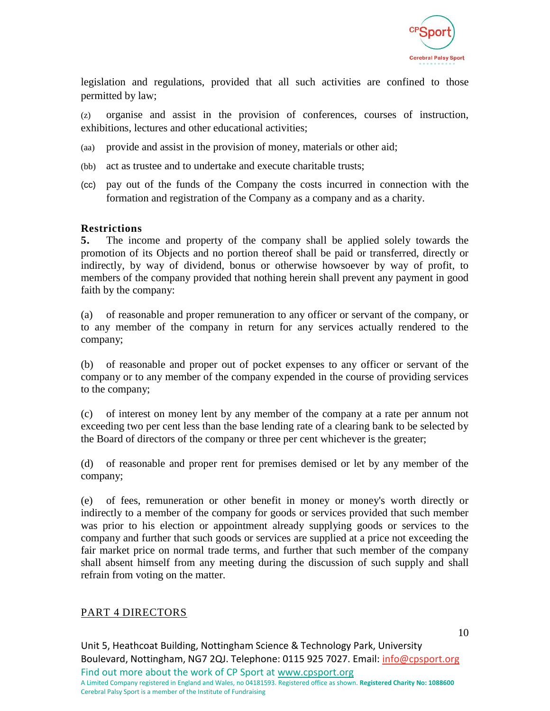

legislation and regulations, provided that all such activities are confined to those permitted by law;

(z) organise and assist in the provision of conferences, courses of instruction, exhibitions, lectures and other educational activities;

- (aa) provide and assist in the provision of money, materials or other aid;
- (bb) act as trustee and to undertake and execute charitable trusts;
- (cc) pay out of the funds of the Company the costs incurred in connection with the formation and registration of the Company as a company and as a charity.

#### **Restrictions**

**5.** The income and property of the company shall be applied solely towards the promotion of its Objects and no portion thereof shall be paid or transferred, directly or indirectly, by way of dividend, bonus or otherwise howsoever by way of profit, to members of the company provided that nothing herein shall prevent any payment in good faith by the company:

(a) of reasonable and proper remuneration to any officer or servant of the company, or to any member of the company in return for any services actually rendered to the company;

(b) of reasonable and proper out of pocket expenses to any officer or servant of the company or to any member of the company expended in the course of providing services to the company;

(c) of interest on money lent by any member of the company at a rate per annum not exceeding two per cent less than the base lending rate of a clearing bank to be selected by the Board of directors of the company or three per cent whichever is the greater;

(d) of reasonable and proper rent for premises demised or let by any member of the company;

(e) of fees, remuneration or other benefit in money or money's worth directly or indirectly to a member of the company for goods or services provided that such member was prior to his election or appointment already supplying goods or services to the company and further that such goods or services are supplied at a price not exceeding the fair market price on normal trade terms, and further that such member of the company shall absent himself from any meeting during the discussion of such supply and shall refrain from voting on the matter.

#### PART 4 DIRECTORS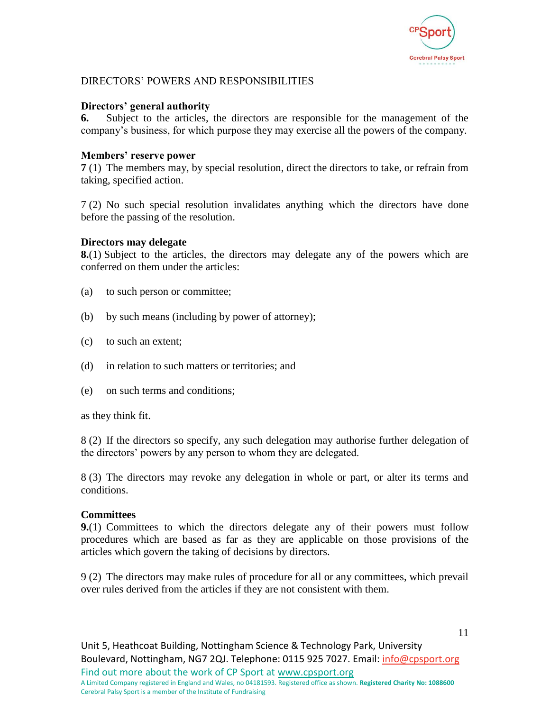

# DIRECTORS' POWERS AND RESPONSIBILITIES

#### **Directors' general authority**

**6.** Subject to the articles, the directors are responsible for the management of the company's business, for which purpose they may exercise all the powers of the company.

#### **Members' reserve power**

**7** (1) The members may, by special resolution, direct the directors to take, or refrain from taking, specified action.

7 (2) No such special resolution invalidates anything which the directors have done before the passing of the resolution.

#### **Directors may delegate**

**8.**(1) Subject to the articles, the directors may delegate any of the powers which are conferred on them under the articles:

- (a) to such person or committee;
- (b) by such means (including by power of attorney);
- (c) to such an extent;
- (d) in relation to such matters or territories; and
- (e) on such terms and conditions;

as they think fit.

8 (2) If the directors so specify, any such delegation may authorise further delegation of the directors' powers by any person to whom they are delegated.

8 (3) The directors may revoke any delegation in whole or part, or alter its terms and conditions.

#### **Committees**

**9.**(1) Committees to which the directors delegate any of their powers must follow procedures which are based as far as they are applicable on those provisions of the articles which govern the taking of decisions by directors.

9 (2) The directors may make rules of procedure for all or any committees, which prevail over rules derived from the articles if they are not consistent with them.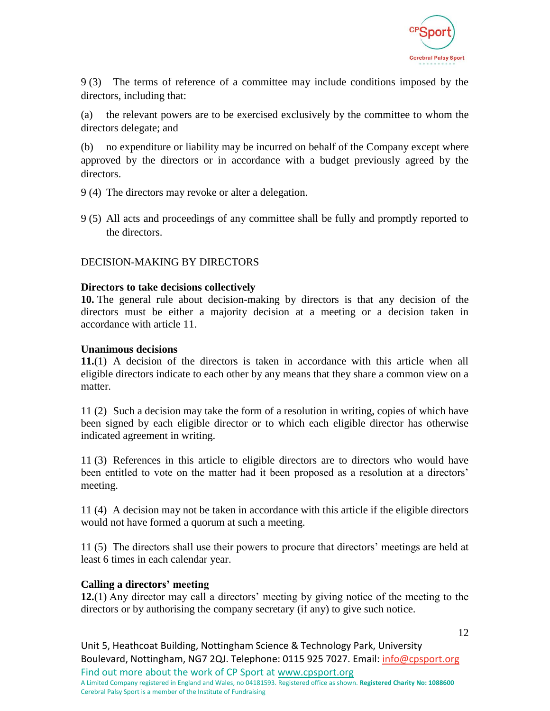

9 (3) The terms of reference of a committee may include conditions imposed by the directors, including that:

(a) the relevant powers are to be exercised exclusively by the committee to whom the directors delegate; and

(b) no expenditure or liability may be incurred on behalf of the Company except where approved by the directors or in accordance with a budget previously agreed by the directors.

- 9 (4) The directors may revoke or alter a delegation.
- 9 (5) All acts and proceedings of any committee shall be fully and promptly reported to the directors.

# DECISION-MAKING BY DIRECTORS

#### **Directors to take decisions collectively**

**10.** The general rule about decision-making by directors is that any decision of the directors must be either a majority decision at a meeting or a decision taken in accordance with article 11.

#### **Unanimous decisions**

**11.**(1) A decision of the directors is taken in accordance with this article when all eligible directors indicate to each other by any means that they share a common view on a matter.

11 (2) Such a decision may take the form of a resolution in writing, copies of which have been signed by each eligible director or to which each eligible director has otherwise indicated agreement in writing.

11 (3) References in this article to eligible directors are to directors who would have been entitled to vote on the matter had it been proposed as a resolution at a directors' meeting.

11 (4) A decision may not be taken in accordance with this article if the eligible directors would not have formed a quorum at such a meeting.

11 (5) The directors shall use their powers to procure that directors' meetings are held at least 6 times in each calendar year.

#### **Calling a directors' meeting**

**12.**(1) Any director may call a directors' meeting by giving notice of the meeting to the directors or by authorising the company secretary (if any) to give such notice.

12

Unit 5, Heathcoat Building, Nottingham Science & Technology Park, University Boulevard, Nottingham, NG7 2QJ. Telephone: 0115 925 7027. Email: [info@cpsport.org](mailto:info@cpsport.org) Find out more about the work of CP Sport at [www.cpsport.org](http://www.cpsport.org/)

A Limited Company registered in England and Wales, no 04181593. Registered office as shown. **Registered Charity No: 1088600** Cerebral Palsy Sport is a member of the Institute of Fundraising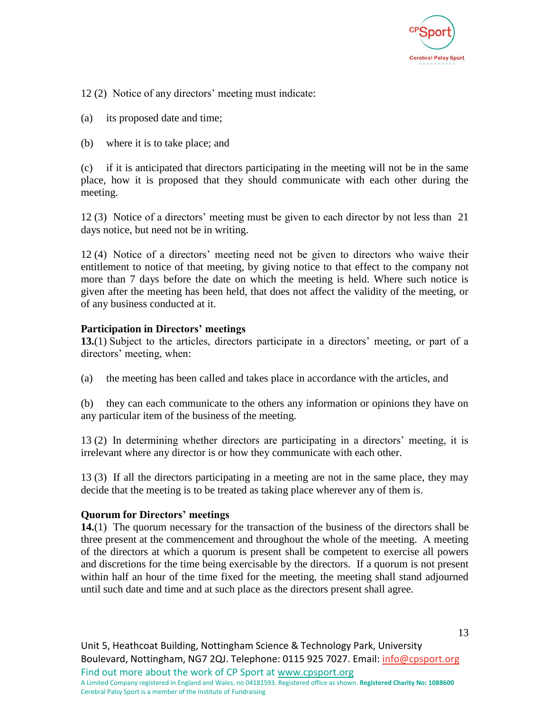

12 (2) Notice of any directors' meeting must indicate:

(a) its proposed date and time;

(b) where it is to take place; and

(c) if it is anticipated that directors participating in the meeting will not be in the same place, how it is proposed that they should communicate with each other during the meeting.

12 (3) Notice of a directors' meeting must be given to each director by not less than 21 days notice, but need not be in writing.

12 (4) Notice of a directors' meeting need not be given to directors who waive their entitlement to notice of that meeting, by giving notice to that effect to the company not more than 7 days before the date on which the meeting is held. Where such notice is given after the meeting has been held, that does not affect the validity of the meeting, or of any business conducted at it.

# **Participation in Directors' meetings**

**13.**(1) Subject to the articles, directors participate in a directors' meeting, or part of a directors' meeting, when:

(a) the meeting has been called and takes place in accordance with the articles, and

(b) they can each communicate to the others any information or opinions they have on any particular item of the business of the meeting.

13 (2) In determining whether directors are participating in a directors' meeting, it is irrelevant where any director is or how they communicate with each other.

13 (3) If all the directors participating in a meeting are not in the same place, they may decide that the meeting is to be treated as taking place wherever any of them is.

#### **Quorum for Directors' meetings**

**14.**(1) The quorum necessary for the transaction of the business of the directors shall be three present at the commencement and throughout the whole of the meeting. A meeting of the directors at which a quorum is present shall be competent to exercise all powers and discretions for the time being exercisable by the directors. If a quorum is not present within half an hour of the time fixed for the meeting, the meeting shall stand adjourned until such date and time and at such place as the directors present shall agree.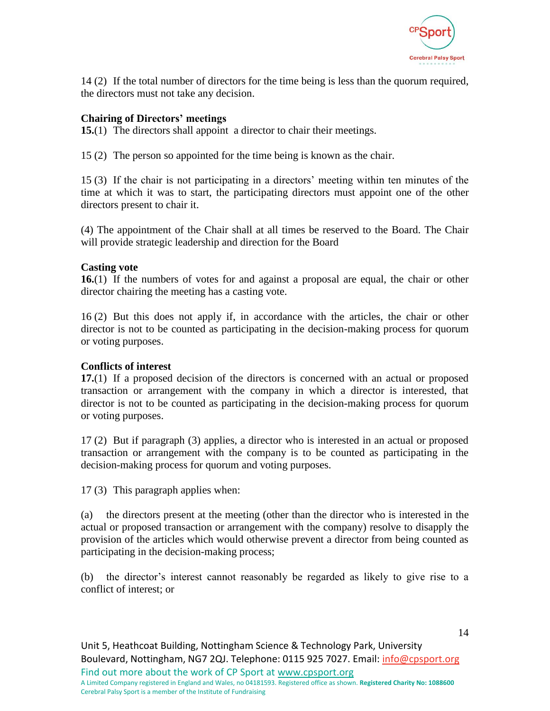

14 (2) If the total number of directors for the time being is less than the quorum required, the directors must not take any decision.

# **Chairing of Directors' meetings**

**15.**(1) The directors shall appoint a director to chair their meetings.

15 (2) The person so appointed for the time being is known as the chair.

15 (3) If the chair is not participating in a directors' meeting within ten minutes of the time at which it was to start, the participating directors must appoint one of the other directors present to chair it.

(4) The appointment of the Chair shall at all times be reserved to the Board. The Chair will provide strategic leadership and direction for the Board

#### **Casting vote**

**16.**(1) If the numbers of votes for and against a proposal are equal, the chair or other director chairing the meeting has a casting vote.

16 (2) But this does not apply if, in accordance with the articles, the chair or other director is not to be counted as participating in the decision-making process for quorum or voting purposes.

#### **Conflicts of interest**

**17.**(1) If a proposed decision of the directors is concerned with an actual or proposed transaction or arrangement with the company in which a director is interested, that director is not to be counted as participating in the decision-making process for quorum or voting purposes.

17 (2) But if paragraph (3) applies, a director who is interested in an actual or proposed transaction or arrangement with the company is to be counted as participating in the decision-making process for quorum and voting purposes.

17 (3) This paragraph applies when:

(a) the directors present at the meeting (other than the director who is interested in the actual or proposed transaction or arrangement with the company) resolve to disapply the provision of the articles which would otherwise prevent a director from being counted as participating in the decision-making process;

(b) the director's interest cannot reasonably be regarded as likely to give rise to a conflict of interest; or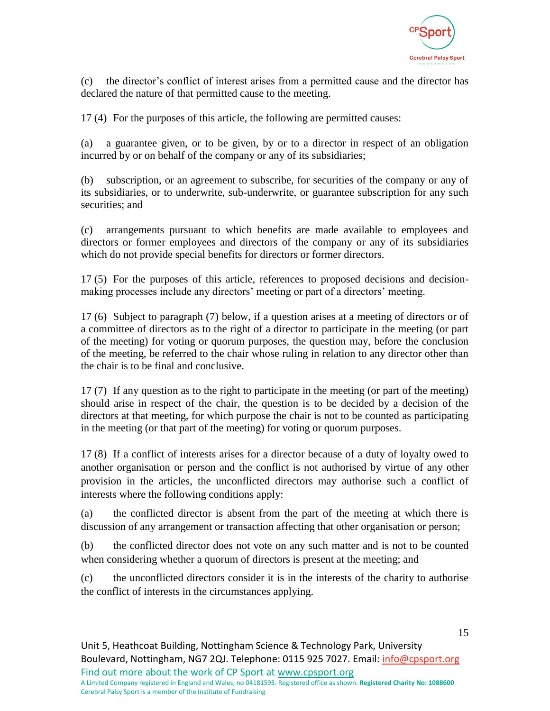

(c) the director's conflict of interest arises from a permitted cause and the director has declared the nature of that permitted cause to the meeting.

17 (4) For the purposes of this article, the following are permitted causes:

(a) a guarantee given, or to be given, by or to a director in respect of an obligation incurred by or on behalf of the company or any of its subsidiaries;

(b) subscription, or an agreement to subscribe, for securities of the company or any of its subsidiaries, or to underwrite, sub-underwrite, or guarantee subscription for any such securities; and

(c) arrangements pursuant to which benefits are made available to employees and directors or former employees and directors of the company or any of its subsidiaries which do not provide special benefits for directors or former directors.

17 (5) For the purposes of this article, references to proposed decisions and decisionmaking processes include any directors' meeting or part of a directors' meeting.

17 (6) Subject to paragraph (7) below, if a question arises at a meeting of directors or of a committee of directors as to the right of a director to participate in the meeting (or part of the meeting) for voting or quorum purposes, the question may, before the conclusion of the meeting, be referred to the chair whose ruling in relation to any director other than the chair is to be final and conclusive.

17 (7) If any question as to the right to participate in the meeting (or part of the meeting) should arise in respect of the chair, the question is to be decided by a decision of the directors at that meeting, for which purpose the chair is not to be counted as participating in the meeting (or that part of the meeting) for voting or quorum purposes.

17 (8) If a conflict of interests arises for a director because of a duty of loyalty owed to another organisation or person and the conflict is not authorised by virtue of any other provision in the articles, the unconflicted directors may authorise such a conflict of interests where the following conditions apply:

(a) the conflicted director is absent from the part of the meeting at which there is discussion of any arrangement or transaction affecting that other organisation or person;

(b) the conflicted director does not vote on any such matter and is not to be counted when considering whether a quorum of directors is present at the meeting; and

(c) the unconflicted directors consider it is in the interests of the charity to authorise the conflict of interests in the circumstances applying.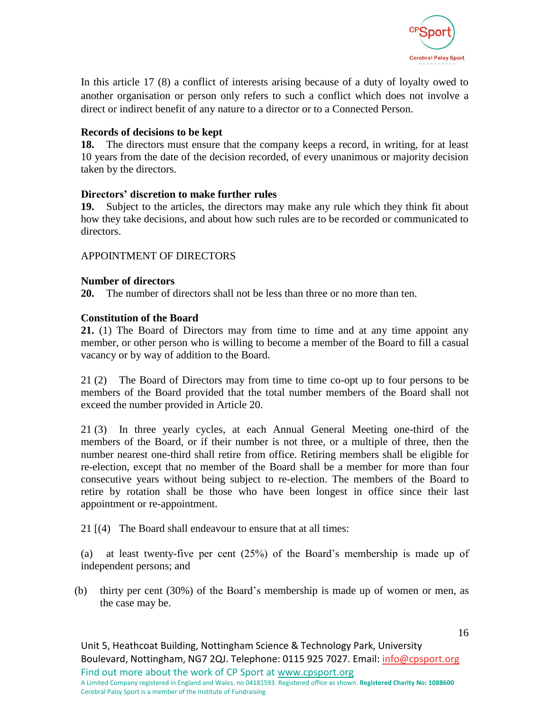

In this article 17 (8) a conflict of interests arising because of a duty of loyalty owed to another organisation or person only refers to such a conflict which does not involve a direct or indirect benefit of any nature to a director or to a Connected Person.

# **Records of decisions to be kept**

**18.** The directors must ensure that the company keeps a record, in writing, for at least 10 years from the date of the decision recorded, of every unanimous or majority decision taken by the directors.

# **Directors' discretion to make further rules**

**19.** Subject to the articles, the directors may make any rule which they think fit about how they take decisions, and about how such rules are to be recorded or communicated to directors.

# APPOINTMENT OF DIRECTORS

#### **Number of directors**

**20.** The number of directors shall not be less than three or no more than ten.

# **Constitution of the Board**

**21.** (1) The Board of Directors may from time to time and at any time appoint any member, or other person who is willing to become a member of the Board to fill a casual vacancy or by way of addition to the Board.

21 (2) The Board of Directors may from time to time co-opt up to four persons to be members of the Board provided that the total number members of the Board shall not exceed the number provided in Article 20.

21 (3) In three yearly cycles, at each Annual General Meeting one-third of the members of the Board, or if their number is not three, or a multiple of three, then the number nearest one-third shall retire from office. Retiring members shall be eligible for re-election, except that no member of the Board shall be a member for more than four consecutive years without being subject to re-election. The members of the Board to retire by rotation shall be those who have been longest in office since their last appointment or re-appointment.

21 [(4) The Board shall endeavour to ensure that at all times:

(a) at least twenty-five per cent (25%) of the Board's membership is made up of independent persons; and

(b) thirty per cent (30%) of the Board's membership is made up of women or men, as the case may be.

Unit 5, Heathcoat Building, Nottingham Science & Technology Park, University Boulevard, Nottingham, NG7 2QJ. Telephone: 0115 925 7027. Email: [info@cpsport.org](mailto:info@cpsport.org) Find out more about the work of CP Sport at [www.cpsport.org](http://www.cpsport.org/) A Limited Company registered in England and Wales, no 04181593. Registered office as shown. **Registered Charity No: 1088600** Cerebral Palsy Sport is a member of the Institute of Fundraising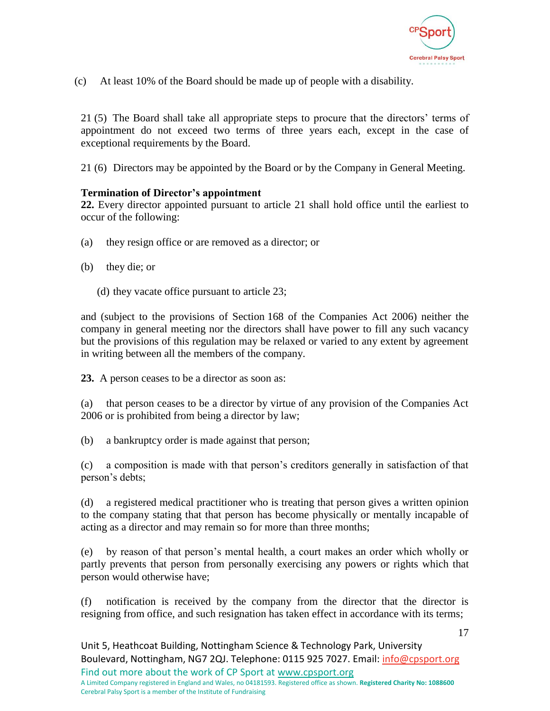

(c) At least 10% of the Board should be made up of people with a disability.

21 (5) The Board shall take all appropriate steps to procure that the directors' terms of appointment do not exceed two terms of three years each, except in the case of exceptional requirements by the Board.

21 (6) Directors may be appointed by the Board or by the Company in General Meeting.

# **Termination of Director's appointment**

**22.** Every director appointed pursuant to article 21 shall hold office until the earliest to occur of the following:

- (a) they resign office or are removed as a director; or
- (b) they die; or
	- (d) they vacate office pursuant to article 23;

and (subject to the provisions of Section 168 of the Companies Act 2006) neither the company in general meeting nor the directors shall have power to fill any such vacancy but the provisions of this regulation may be relaxed or varied to any extent by agreement in writing between all the members of the company.

**23.** A person ceases to be a director as soon as:

(a) that person ceases to be a director by virtue of any provision of the Companies Act 2006 or is prohibited from being a director by law;

(b) a bankruptcy order is made against that person;

(c) a composition is made with that person's creditors generally in satisfaction of that person's debts;

(d) a registered medical practitioner who is treating that person gives a written opinion to the company stating that that person has become physically or mentally incapable of acting as a director and may remain so for more than three months;

(e) by reason of that person's mental health, a court makes an order which wholly or partly prevents that person from personally exercising any powers or rights which that person would otherwise have;

(f) notification is received by the company from the director that the director is resigning from office, and such resignation has taken effect in accordance with its terms;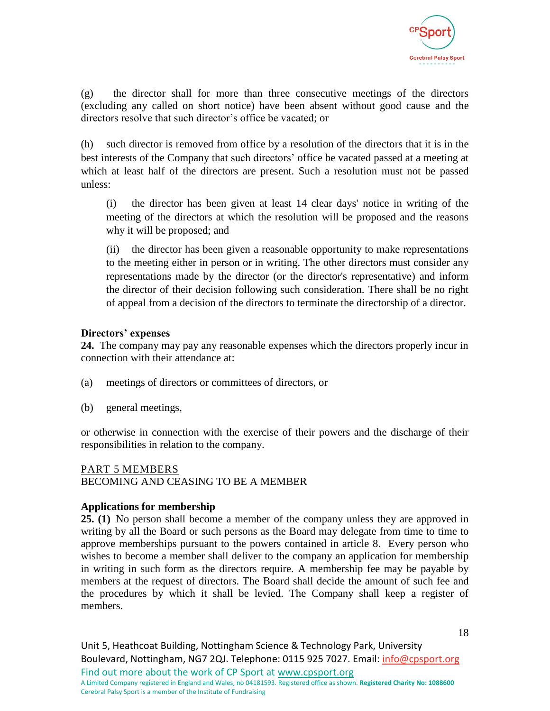

(g) the director shall for more than three consecutive meetings of the directors (excluding any called on short notice) have been absent without good cause and the directors resolve that such director's office be vacated; or

(h) such director is removed from office by a resolution of the directors that it is in the best interests of the Company that such directors' office be vacated passed at a meeting at which at least half of the directors are present. Such a resolution must not be passed unless:

(i) the director has been given at least 14 clear days' notice in writing of the meeting of the directors at which the resolution will be proposed and the reasons why it will be proposed; and

(ii) the director has been given a reasonable opportunity to make representations to the meeting either in person or in writing. The other directors must consider any representations made by the director (or the director's representative) and inform the director of their decision following such consideration. There shall be no right of appeal from a decision of the directors to terminate the directorship of a director.

# **Directors' expenses**

**24.** The company may pay any reasonable expenses which the directors properly incur in connection with their attendance at:

- (a) meetings of directors or committees of directors, or
- (b) general meetings,

or otherwise in connection with the exercise of their powers and the discharge of their responsibilities in relation to the company.

# PART 5 MEMBERS

#### BECOMING AND CEASING TO BE A MEMBER

#### **Applications for membership**

**25. (1)** No person shall become a member of the company unless they are approved in writing by all the Board or such persons as the Board may delegate from time to time to approve memberships pursuant to the powers contained in article 8. Every person who wishes to become a member shall deliver to the company an application for membership in writing in such form as the directors require. A membership fee may be payable by members at the request of directors. The Board shall decide the amount of such fee and the procedures by which it shall be levied. The Company shall keep a register of members.

Unit 5, Heathcoat Building, Nottingham Science & Technology Park, University Boulevard, Nottingham, NG7 2QJ. Telephone: 0115 925 7027. Email: [info@cpsport.org](mailto:info@cpsport.org) Find out more about the work of CP Sport at [www.cpsport.org](http://www.cpsport.org/) A Limited Company registered in England and Wales, no 04181593. Registered office as shown. **Registered Charity No: 1088600** Cerebral Palsy Sport is a member of the Institute of Fundraising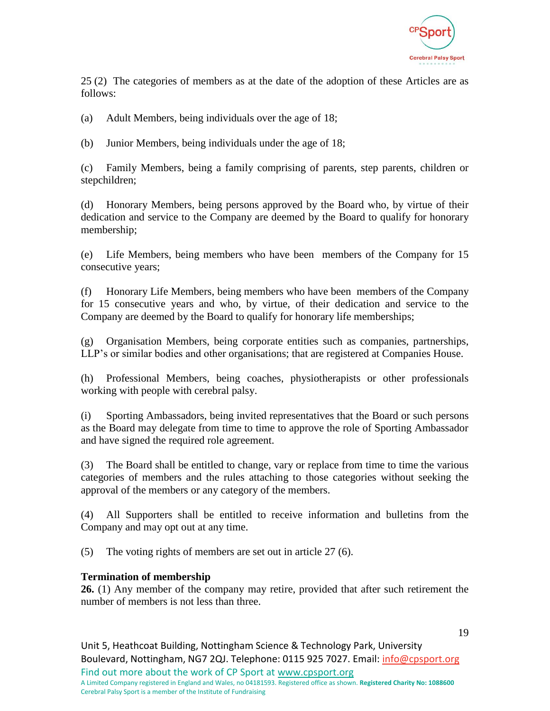

25 (2) The categories of members as at the date of the adoption of these Articles are as follows:

(a) Adult Members, being individuals over the age of 18;

(b) Junior Members, being individuals under the age of 18;

(c) Family Members, being a family comprising of parents, step parents, children or stepchildren;

(d) Honorary Members, being persons approved by the Board who, by virtue of their dedication and service to the Company are deemed by the Board to qualify for honorary membership;

(e) Life Members, being members who have been members of the Company for 15 consecutive years;

(f) Honorary Life Members, being members who have been members of the Company for 15 consecutive years and who, by virtue, of their dedication and service to the Company are deemed by the Board to qualify for honorary life memberships;

(g) Organisation Members, being corporate entities such as companies, partnerships, LLP's or similar bodies and other organisations; that are registered at Companies House.

(h) Professional Members, being coaches, physiotherapists or other professionals working with people with cerebral palsy.

(i) Sporting Ambassadors, being invited representatives that the Board or such persons as the Board may delegate from time to time to approve the role of Sporting Ambassador and have signed the required role agreement.

(3) The Board shall be entitled to change, vary or replace from time to time the various categories of members and the rules attaching to those categories without seeking the approval of the members or any category of the members.

(4) All Supporters shall be entitled to receive information and bulletins from the Company and may opt out at any time.

(5) The voting rights of members are set out in article 27 (6).

#### **Termination of membership**

**26.** (1) Any member of the company may retire, provided that after such retirement the number of members is not less than three.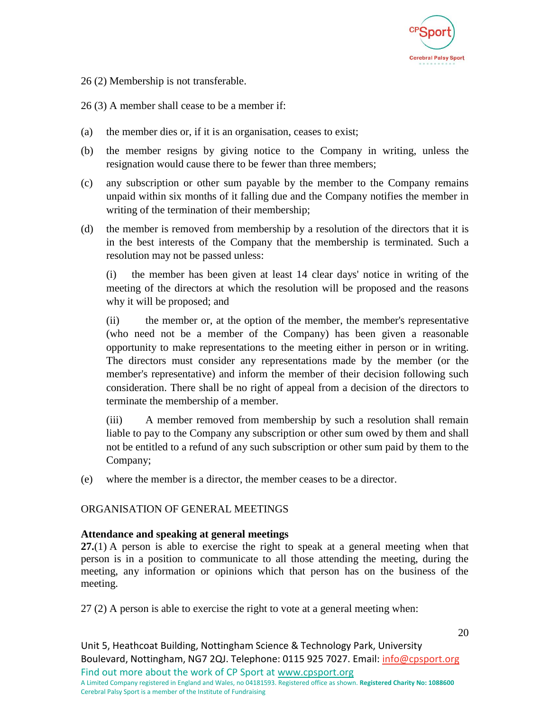

26 (2) Membership is not transferable.

26 (3) A member shall cease to be a member if:

- (a) the member dies or, if it is an organisation, ceases to exist;
- (b) the member resigns by giving notice to the Company in writing, unless the resignation would cause there to be fewer than three members;
- (c) any subscription or other sum payable by the member to the Company remains unpaid within six months of it falling due and the Company notifies the member in writing of the termination of their membership;
- (d) the member is removed from membership by a resolution of the directors that it is in the best interests of the Company that the membership is terminated. Such a resolution may not be passed unless:

(i) the member has been given at least 14 clear days' notice in writing of the meeting of the directors at which the resolution will be proposed and the reasons why it will be proposed; and

(ii) the member or, at the option of the member, the member's representative (who need not be a member of the Company) has been given a reasonable opportunity to make representations to the meeting either in person or in writing. The directors must consider any representations made by the member (or the member's representative) and inform the member of their decision following such consideration. There shall be no right of appeal from a decision of the directors to terminate the membership of a member.

(iii) A member removed from membership by such a resolution shall remain liable to pay to the Company any subscription or other sum owed by them and shall not be entitled to a refund of any such subscription or other sum paid by them to the Company;

(e) where the member is a director, the member ceases to be a director.

# ORGANISATION OF GENERAL MEETINGS

#### **Attendance and speaking at general meetings**

Cerebral Palsy Sport is a member of the Institute of Fundraising

**27.**(1) A person is able to exercise the right to speak at a general meeting when that person is in a position to communicate to all those attending the meeting, during the meeting, any information or opinions which that person has on the business of the meeting.

27 (2) A person is able to exercise the right to vote at a general meeting when:

20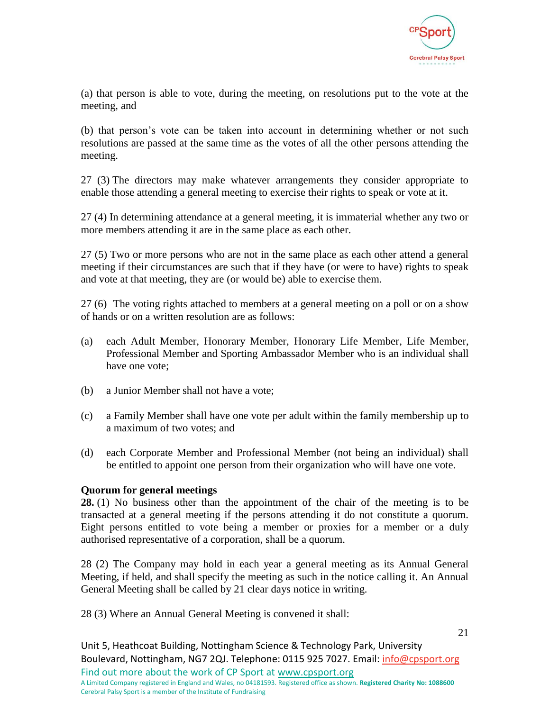

(a) that person is able to vote, during the meeting, on resolutions put to the vote at the meeting, and

(b) that person's vote can be taken into account in determining whether or not such resolutions are passed at the same time as the votes of all the other persons attending the meeting.

27 (3) The directors may make whatever arrangements they consider appropriate to enable those attending a general meeting to exercise their rights to speak or vote at it.

27 (4) In determining attendance at a general meeting, it is immaterial whether any two or more members attending it are in the same place as each other.

27 (5) Two or more persons who are not in the same place as each other attend a general meeting if their circumstances are such that if they have (or were to have) rights to speak and vote at that meeting, they are (or would be) able to exercise them.

27 (6) The voting rights attached to members at a general meeting on a poll or on a show of hands or on a written resolution are as follows:

- (a) each Adult Member, Honorary Member, Honorary Life Member, Life Member, Professional Member and Sporting Ambassador Member who is an individual shall have one vote;
- (b) a Junior Member shall not have a vote;
- (c) a Family Member shall have one vote per adult within the family membership up to a maximum of two votes; and
- (d) each Corporate Member and Professional Member (not being an individual) shall be entitled to appoint one person from their organization who will have one vote.

#### **Quorum for general meetings**

**28.** (1) No business other than the appointment of the chair of the meeting is to be transacted at a general meeting if the persons attending it do not constitute a quorum. Eight persons entitled to vote being a member or proxies for a member or a duly authorised representative of a corporation, shall be a quorum.

28 (2) The Company may hold in each year a general meeting as its Annual General Meeting, if held, and shall specify the meeting as such in the notice calling it. An Annual General Meeting shall be called by 21 clear days notice in writing.

28 (3) Where an Annual General Meeting is convened it shall: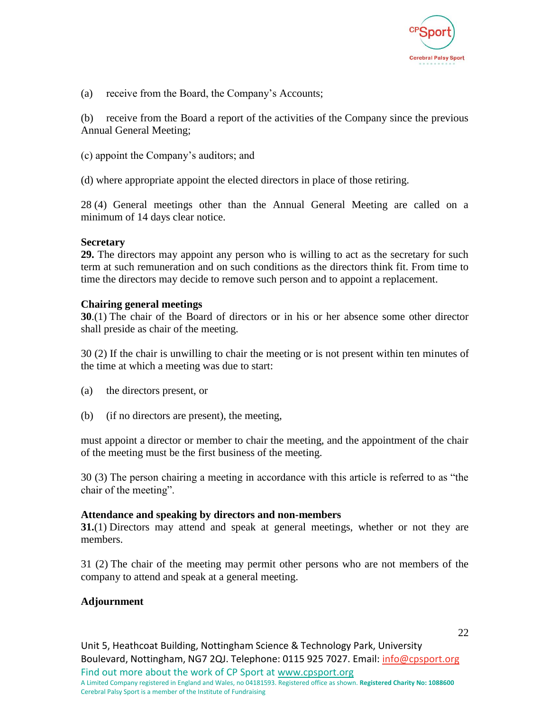

(a) receive from the Board, the Company's Accounts;

(b) receive from the Board a report of the activities of the Company since the previous Annual General Meeting;

(c) appoint the Company's auditors; and

(d) where appropriate appoint the elected directors in place of those retiring.

28 (4) General meetings other than the Annual General Meeting are called on a minimum of 14 days clear notice.

# **Secretary**

**29.** The directors may appoint any person who is willing to act as the secretary for such term at such remuneration and on such conditions as the directors think fit. From time to time the directors may decide to remove such person and to appoint a replacement.

# **Chairing general meetings**

**30**.(1) The chair of the Board of directors or in his or her absence some other director shall preside as chair of the meeting.

30 (2) If the chair is unwilling to chair the meeting or is not present within ten minutes of the time at which a meeting was due to start:

- (a) the directors present, or
- (b) (if no directors are present), the meeting,

must appoint a director or member to chair the meeting, and the appointment of the chair of the meeting must be the first business of the meeting.

30 (3) The person chairing a meeting in accordance with this article is referred to as "the chair of the meeting".

#### **Attendance and speaking by directors and non-members**

**31.**(1) Directors may attend and speak at general meetings, whether or not they are members.

31 (2) The chair of the meeting may permit other persons who are not members of the company to attend and speak at a general meeting.

#### **Adjournment**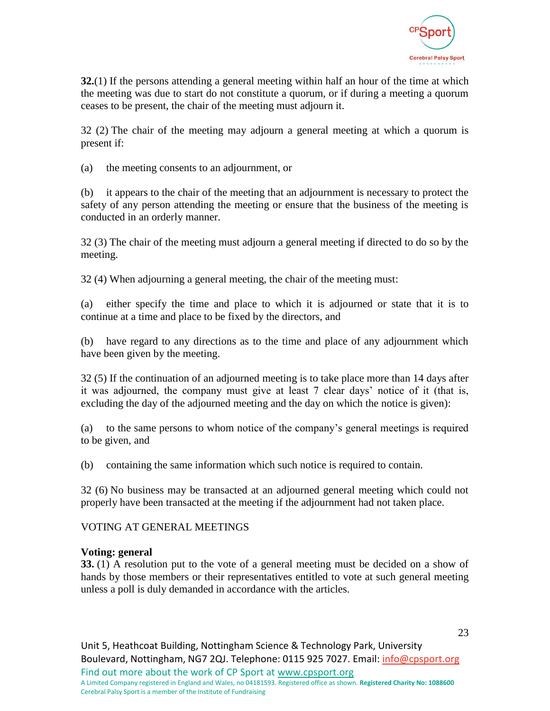

**32.**(1) If the persons attending a general meeting within half an hour of the time at which the meeting was due to start do not constitute a quorum, or if during a meeting a quorum ceases to be present, the chair of the meeting must adjourn it.

32 (2) The chair of the meeting may adjourn a general meeting at which a quorum is present if:

(a) the meeting consents to an adjournment, or

(b) it appears to the chair of the meeting that an adjournment is necessary to protect the safety of any person attending the meeting or ensure that the business of the meeting is conducted in an orderly manner.

32 (3) The chair of the meeting must adjourn a general meeting if directed to do so by the meeting.

32 (4) When adjourning a general meeting, the chair of the meeting must:

(a) either specify the time and place to which it is adjourned or state that it is to continue at a time and place to be fixed by the directors, and

(b) have regard to any directions as to the time and place of any adjournment which have been given by the meeting.

32 (5) If the continuation of an adjourned meeting is to take place more than 14 days after it was adjourned, the company must give at least 7 clear days' notice of it (that is, excluding the day of the adjourned meeting and the day on which the notice is given):

(a) to the same persons to whom notice of the company's general meetings is required to be given, and

(b) containing the same information which such notice is required to contain.

32 (6) No business may be transacted at an adjourned general meeting which could not properly have been transacted at the meeting if the adjournment had not taken place.

#### VOTING AT GENERAL MEETINGS

#### **Voting: general**

**33.** (1) A resolution put to the vote of a general meeting must be decided on a show of hands by those members or their representatives entitled to vote at such general meeting unless a poll is duly demanded in accordance with the articles.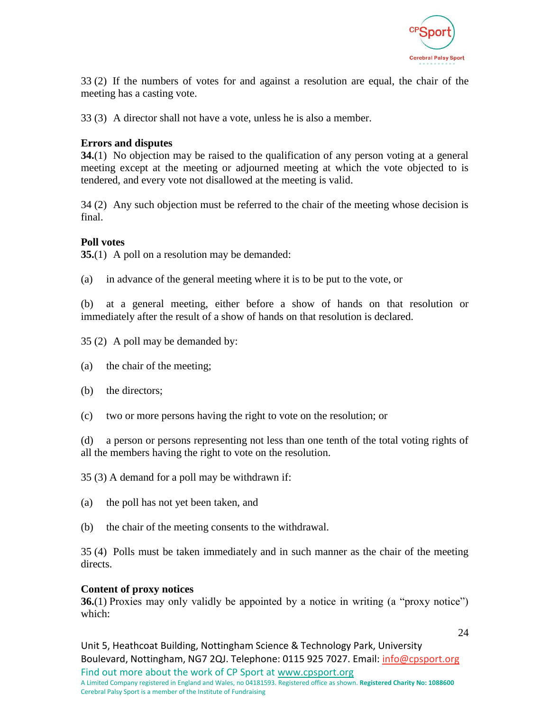

33 (2) If the numbers of votes for and against a resolution are equal, the chair of the meeting has a casting vote.

33 (3) A director shall not have a vote, unless he is also a member.

# **Errors and disputes**

**34.**(1) No objection may be raised to the qualification of any person voting at a general meeting except at the meeting or adjourned meeting at which the vote objected to is tendered, and every vote not disallowed at the meeting is valid.

34 (2) Any such objection must be referred to the chair of the meeting whose decision is final.

# **Poll votes**

**35.**(1) A poll on a resolution may be demanded:

(a) in advance of the general meeting where it is to be put to the vote, or

(b) at a general meeting, either before a show of hands on that resolution or immediately after the result of a show of hands on that resolution is declared.

35 (2) A poll may be demanded by:

- (a) the chair of the meeting;
- (b) the directors;
- (c) two or more persons having the right to vote on the resolution; or

(d) a person or persons representing not less than one tenth of the total voting rights of all the members having the right to vote on the resolution.

35 (3) A demand for a poll may be withdrawn if:

- (a) the poll has not yet been taken, and
- (b) the chair of the meeting consents to the withdrawal.

35 (4) Polls must be taken immediately and in such manner as the chair of the meeting directs.

#### **Content of proxy notices**

**36.**(1) Proxies may only validly be appointed by a notice in writing (a "proxy notice") which:

Unit 5, Heathcoat Building, Nottingham Science & Technology Park, University Boulevard, Nottingham, NG7 2QJ. Telephone: 0115 925 7027. Email: [info@cpsport.org](mailto:info@cpsport.org) Find out more about the work of CP Sport at [www.cpsport.org](http://www.cpsport.org/) A Limited Company registered in England and Wales, no 04181593. Registered office as shown. **Registered Charity No: 1088600** Cerebral Palsy Sport is a member of the Institute of Fundraising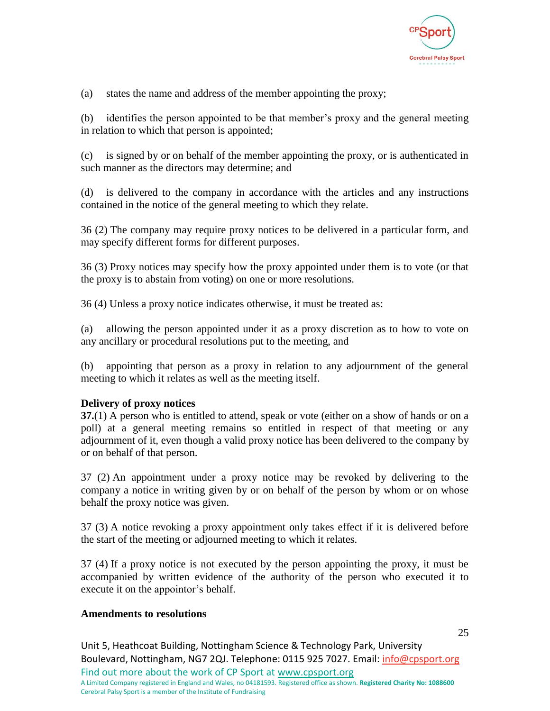

(a) states the name and address of the member appointing the proxy;

(b) identifies the person appointed to be that member's proxy and the general meeting in relation to which that person is appointed;

(c) is signed by or on behalf of the member appointing the proxy, or is authenticated in such manner as the directors may determine; and

(d) is delivered to the company in accordance with the articles and any instructions contained in the notice of the general meeting to which they relate.

36 (2) The company may require proxy notices to be delivered in a particular form, and may specify different forms for different purposes.

36 (3) Proxy notices may specify how the proxy appointed under them is to vote (or that the proxy is to abstain from voting) on one or more resolutions.

36 (4) Unless a proxy notice indicates otherwise, it must be treated as:

(a) allowing the person appointed under it as a proxy discretion as to how to vote on any ancillary or procedural resolutions put to the meeting, and

(b) appointing that person as a proxy in relation to any adjournment of the general meeting to which it relates as well as the meeting itself.

#### **Delivery of proxy notices**

**37.**(1) A person who is entitled to attend, speak or vote (either on a show of hands or on a poll) at a general meeting remains so entitled in respect of that meeting or any adjournment of it, even though a valid proxy notice has been delivered to the company by or on behalf of that person.

37 (2) An appointment under a proxy notice may be revoked by delivering to the company a notice in writing given by or on behalf of the person by whom or on whose behalf the proxy notice was given.

37 (3) A notice revoking a proxy appointment only takes effect if it is delivered before the start of the meeting or adjourned meeting to which it relates.

37 (4) If a proxy notice is not executed by the person appointing the proxy, it must be accompanied by written evidence of the authority of the person who executed it to execute it on the appointor's behalf.

#### **Amendments to resolutions**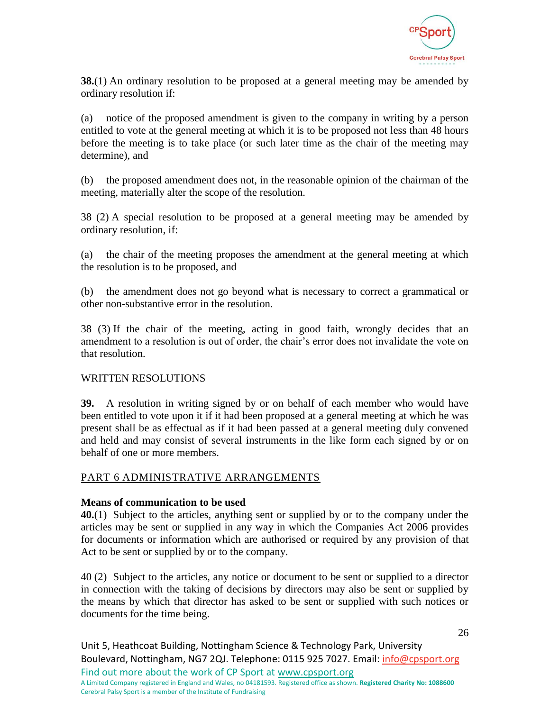

**38.**(1) An ordinary resolution to be proposed at a general meeting may be amended by ordinary resolution if:

(a) notice of the proposed amendment is given to the company in writing by a person entitled to vote at the general meeting at which it is to be proposed not less than 48 hours before the meeting is to take place (or such later time as the chair of the meeting may determine), and

(b) the proposed amendment does not, in the reasonable opinion of the chairman of the meeting, materially alter the scope of the resolution.

38 (2) A special resolution to be proposed at a general meeting may be amended by ordinary resolution, if:

(a) the chair of the meeting proposes the amendment at the general meeting at which the resolution is to be proposed, and

(b) the amendment does not go beyond what is necessary to correct a grammatical or other non-substantive error in the resolution.

38 (3) If the chair of the meeting, acting in good faith, wrongly decides that an amendment to a resolution is out of order, the chair's error does not invalidate the vote on that resolution.

#### WRITTEN RESOLUTIONS

**39.** A resolution in writing signed by or on behalf of each member who would have been entitled to vote upon it if it had been proposed at a general meeting at which he was present shall be as effectual as if it had been passed at a general meeting duly convened and held and may consist of several instruments in the like form each signed by or on behalf of one or more members.

#### PART 6 ADMINISTRATIVE ARRANGEMENTS

#### **Means of communication to be used**

**40.**(1) Subject to the articles, anything sent or supplied by or to the company under the articles may be sent or supplied in any way in which the Companies Act 2006 provides for documents or information which are authorised or required by any provision of that Act to be sent or supplied by or to the company.

40 (2) Subject to the articles, any notice or document to be sent or supplied to a director in connection with the taking of decisions by directors may also be sent or supplied by the means by which that director has asked to be sent or supplied with such notices or documents for the time being.

26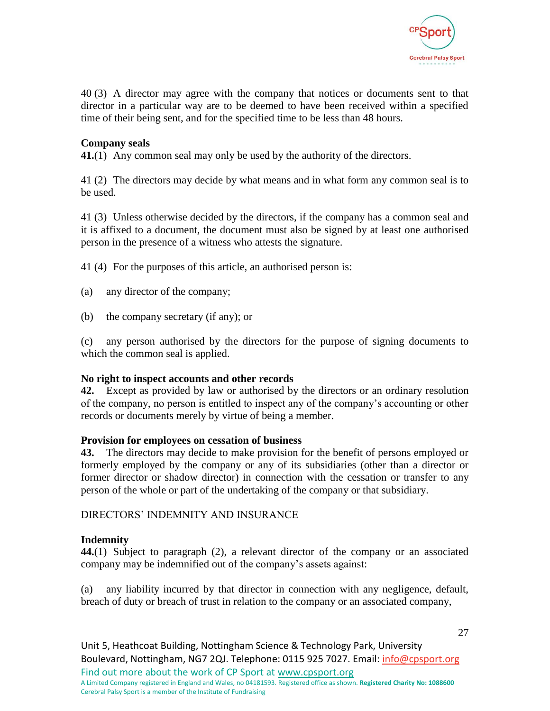

40 (3) A director may agree with the company that notices or documents sent to that director in a particular way are to be deemed to have been received within a specified time of their being sent, and for the specified time to be less than 48 hours.

# **Company seals**

**41.**(1) Any common seal may only be used by the authority of the directors.

41 (2) The directors may decide by what means and in what form any common seal is to be used.

41 (3) Unless otherwise decided by the directors, if the company has a common seal and it is affixed to a document, the document must also be signed by at least one authorised person in the presence of a witness who attests the signature.

41 (4) For the purposes of this article, an authorised person is:

- (a) any director of the company;
- (b) the company secretary (if any); or

(c) any person authorised by the directors for the purpose of signing documents to which the common seal is applied.

#### **No right to inspect accounts and other records**

**42.** Except as provided by law or authorised by the directors or an ordinary resolution of the company, no person is entitled to inspect any of the company's accounting or other records or documents merely by virtue of being a member.

#### **Provision for employees on cessation of business**

**43.** The directors may decide to make provision for the benefit of persons employed or formerly employed by the company or any of its subsidiaries (other than a director or former director or shadow director) in connection with the cessation or transfer to any person of the whole or part of the undertaking of the company or that subsidiary.

DIRECTORS' INDEMNITY AND INSURANCE

#### **Indemnity**

**44.**(1) Subject to paragraph (2), a relevant director of the company or an associated company may be indemnified out of the company's assets against:

(a) any liability incurred by that director in connection with any negligence, default, breach of duty or breach of trust in relation to the company or an associated company,